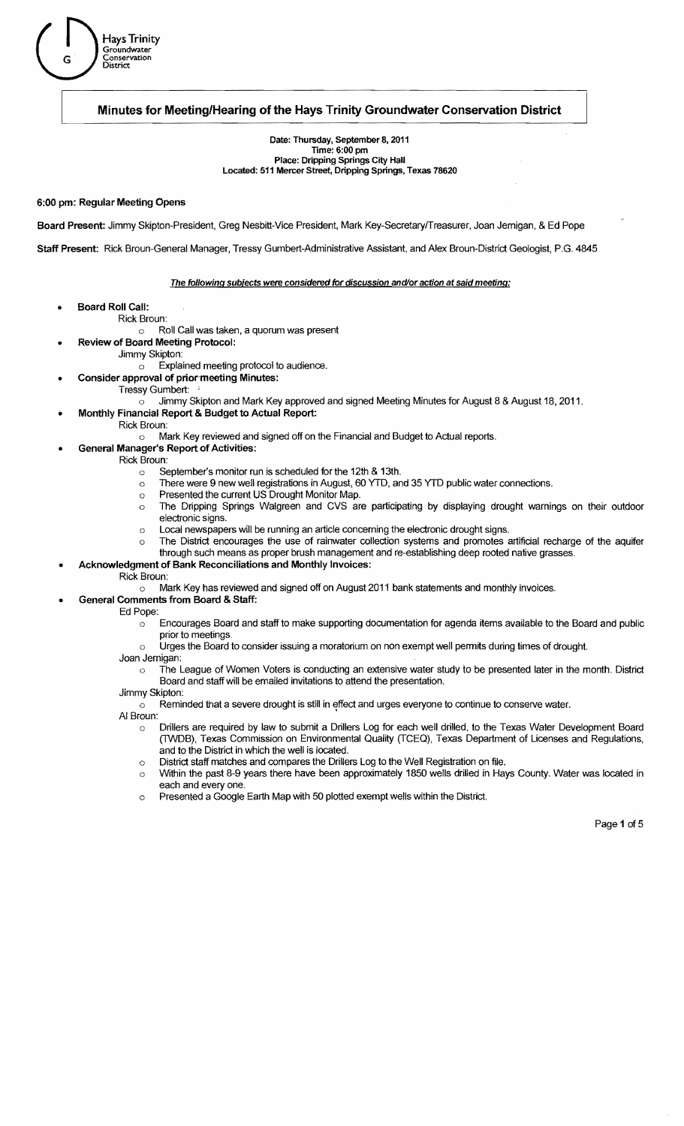

## **Minutes for Meeting/Hearing** of the **Hays Trinity Groundwater Conservation District**

Date: Thursday, September 8, 2011 Time: 6:00 pm Place: Dripping Springs City Hall Located: 511 Mercer Street, Dripping Springs, Texas 78620

## 6:00 pm: Regular Meeting Opens

Board Present: Jimmy Skipton-President, Greg Nesbitt-Vice President, Mark Key-Secretaryrrreasurer, Joan Jernigan, & Ed Pope

Staff Present: Rick Broun-General Manager, Tressy Gumbert-Administrative Assistant, and Alex Broun-District Geologist, P.G. 4845

#### The following subiects were considered for discussion and/or action at said meeting:

- Board Roll Call:
	- Rick Broun:
		- $\circ$  Roll Call was taken, a quorum was present
	- Review of Board Meeting Protocol:
		- Jimmy Skipton:
			- o Explained meeting protocol to audience.
	- Consider approval of prior meeting Minutes:
		- Tressy Gumbert:
			- Jimmy Skipton and Mark Key approved and signed Meeting Minutes for August 8 & August 18. 2011.  $\circ$
		- Monthly Financial Report & Budget to Actual Report:
		- Rick Broun:
			- o Mark Key reviewed and signed off on the Financial and Budget to Actual reports.
	- General Manager's Report of Activities:
		- Rick Broun:
			- o September's monitor run is scheduled for the 12th & 13th.
			- o There were 9 new well registrations in August, 60 YTD, and 35 YTD public water connections.
			- o Presented the current US Drought Monitor Map.
			- $\circ$  The Dripping Springs Walgreen and CVS are participating by displaying drought warnings on their outdoor electronic signs.
			- o Local newspapers will be running an article concerning the electronic drought signs.
			- o The District encourages the use of rainwater collection systems and promotes artificial recharge of the aquifer through such means as proper brush management and re-establishing deep rooted native grasses.
		- Acknowledgment of Bank Reconciliations and Monthly Invoices:
- Rick Broun:
	- $\circ$  Mark Key has reviewed and signed off on August 2011 bank statements and monthly invoices.
	- General Comments from Board & Staff:
		- Ed Pope:
			- $\circ$  Encourages Board and staff to make supporting documentation for agenda items available to the Board and public prior to meetings.
			- o Urges the Board to consider issuing a moratorium on non exempt well permits during times of drought.
			- Joan Jernigan:
				- $\circ$  The League of Women Voters is conducting an extensive water study to be presented later in the month. District Board and staff will be emailed invitations to attend the presentation.
			- Jimmy Skipton:
				- $\circ$  Reminded that a severe drought is still in effect and urges everyone to continue to conserve water.
			- AI Broun:
				- o Drillers are required by law to submit a Drillers Log for each well drilled, to the Texas Water Development Board (lWDB), Texas Commission on Environmental Quality (TCEQ). Texas Department of Licenses and Regulations, and to the District in which the well is located.
				- o District staff matches and compares the Drillers Log to the Well Registration on file.
				- o Within the past 8-9 years there have been approximately 1850 wells drilled in Hays County. Water was located in each and every one.
				- o Presented a Google Earth Map with 50 plotted exempt wells within the District.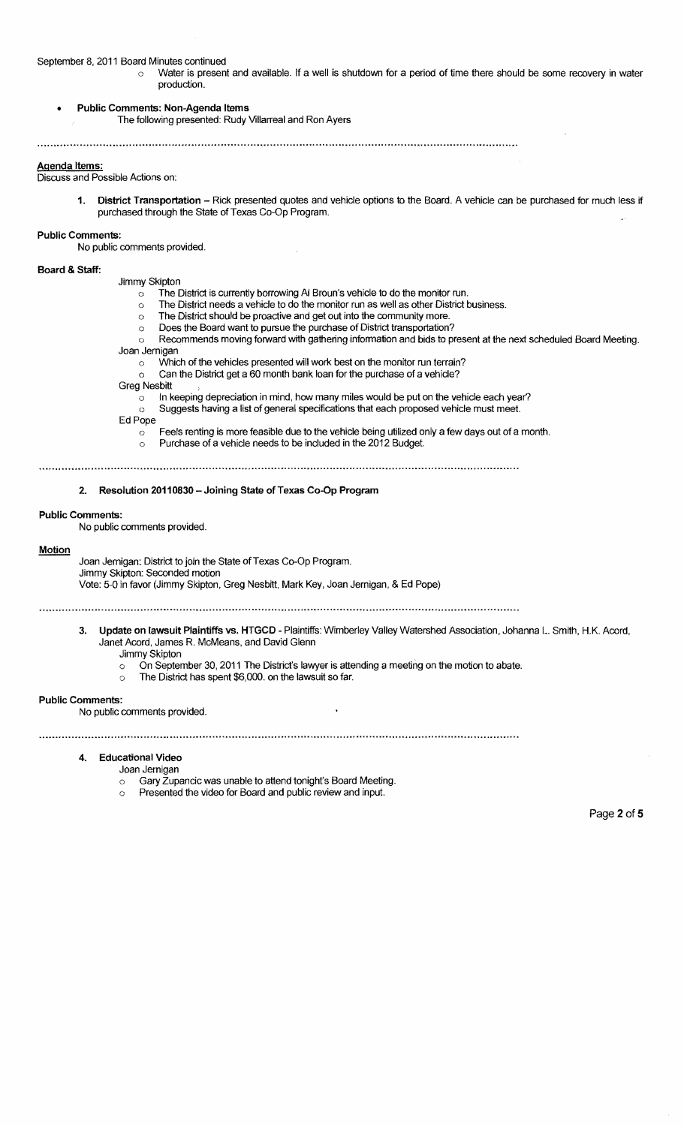#### September 8, 2011 Board Minutes continued

- $\circ$  Water is present and available. If a well is shutdown for a period of time there should be some recovery in water production.
- Public Comments: Non-Agenda Items
	- The following presented: Rudy Villarreal and Ron Ayers

## Agenda Items:

Discuss and Possible Actions on:

1. District Transportation - Rick presented quotes and vehicle options to the Board. A vehicle can be purchased for much less if purchased through the State of Texas Co-Op Program.

# Public Comments:

No public comments provided.

#### Board & Staff:

Jimmy Skipton

- $\circ$  The District is currently borrowing AI Broun's vehicle to do the monitor run.
- o The District needs a vehicle to do the monitor run as well as other District business.
- o The District should be proactive and get out into the community more.
- o Does the Board want to pursue the purchase of District transportation?
- o Recommends moving forward with gathering information and bids to present at the next scheduled Board Meeting. Joan Jernigan
- - $\circ$  Which of the vehicles presented will work best on the monitor run terrain?
	- $\circ$  Can the District get a 60 month bank loan for the purchase of a vehicle?
- **Greg Nesbitt** 
	- In keeping depreciation in mind, how many miles would be put on the vehicle each year?  $\circlearrowleft$
	- o Suggests having a list of general specifications that each proposed vehicle must meet.

#### Ed Pope

 $\circ$  Feels renting is more feasible due to the vehicle being utilized only a few days out of a month.  $\circ$  Purchase of a vehicle needs to be included in the 2012 Budget.

## 2. Resolution 20110830 - Joining State of Texas Co-Op Program

## Public Comments:

No public comments provided.

#### **Motion**

Joan Jernigan: District to join the State of Texas Co-Op Program. Jimmy Skipton: Seconded motion Vote: 5-0 in favor (Jimmy Skipton, Greg Nesbitt, Mark Key, Joan Jernigan, & Ed Pope)

- 3. Update on lawsuit Plaintiffs vs. HTGCD Plaintiffs: Wimberley Valley Watershed Association, Johanna L. Smith, H.K. Acord, Janet Acord, James R. McMeans, and David Glenn Jimmy Skipton
	- o On September 30, 2011 The District's lawyer is attending a meeting on the motion to abate.
	- o The District has spent \$6,000. on the lawsuit so far.

#### Public Comments:

No public comments provided.

## 4. Educational Video

- Joan Jernigan
	- o Gary Zupancic was unable to attend tonight's Board Meeting.
	- Presented the video for Board and public review and input.

Page 2 of 5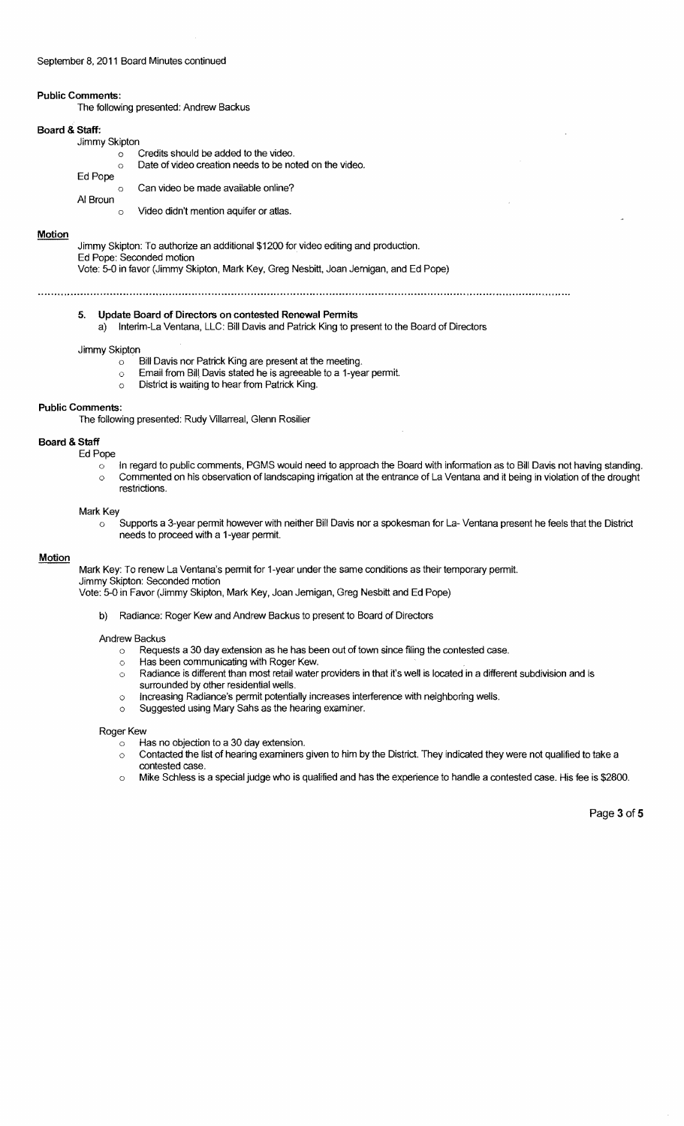## September 8. 2011 Board Minutes continued

## Public Comments:

The following presented: Andrew Backus

## Board & Staff:

|  | Jimmy Skipton |
|--|---------------|
|--|---------------|

|          |   | Credits should be added to the video.                  |
|----------|---|--------------------------------------------------------|
|          | ↷ | Date of video creation needs to be noted on the video. |
| Ed Pope  |   |                                                        |
|          |   | Can video be made available online?                    |
| Al Broun |   |                                                        |

o Video didn't mention aquifer or atlas.

#### **Motion**

Jimmy Skipton: To authorize an additional \$1200 for video editing and production. Ed Pope: Seconded motion

Vote: 5-0 in favor (Jimmy Skipton, Mark Key, Greg Nesbitt, Joan Jernigan, and Ed Pope)

#### 5. Update Board of Directors on contested Renewal Permits

a) Interim-La Ventana, LLC: Bill Davis and Patrick King to present to the Board of Directors

#### Jimmy Skipton

- $\circ$  Bill Davis nor Patrick King are present at the meeting.
- o Email from Bilt Davis stated he is agreeable to a 1-year permit.
- o District is waiting to hear from Patrick King.

#### Public Comments:

The following presented: Rudy Villarreal, Glenn Rosilier

## Board & Staff

- Ed Pope
	- o In regard to public comments, PGMS would need to approach the Board with information as to Bill Davis not having standing. o Commented on his observation of landscaping irrigation at the entrance of La Ventana and it being in violation of the drought restrictions.

#### Mark Key

 $\circ$  Supports a 3-year permit however with neither Bill Davis nor a spokesman for La- Ventana present he feels that the District needs to proceed with a 1-year permit.

#### Motion

Mark Key: To renew La Ventana's permit for 1-year under the same conditions as their temporary permit. Jimmy Skipton: Seconded motion

Vote: 5-0 in Favor (Jimmy Skipton, Mark Key, Joan Jernigan, Greg Nesbitt and Ed Pope)

b) Radiance: Roger Kew and Andrew Backus to present to Board of Directors

#### Andrew Backus

- o Requests a 30 day extension as he has been out of town since filing the contested case.
- Has been communicating with Roger Kew.  $\circ$
- $\circ$  Radiance is different than most retail water providers in that it's well is located in a different subdivision and is surrounded by other residential wells.
- o Increasing Radiance's permit potentially increases interference with neighboring wells.
- o Suggested using Mary Sahs as the hearing examiner.

#### Roger Kew

Has no objection to a 30 day extension.

- o Contacted the list of hearing examiners given to him by the District. They indicated they were not qualified to take a contested case.
- o Mike Schless is a special judge who is qualified and has the experience to handle a contested case. His fee is \$2800.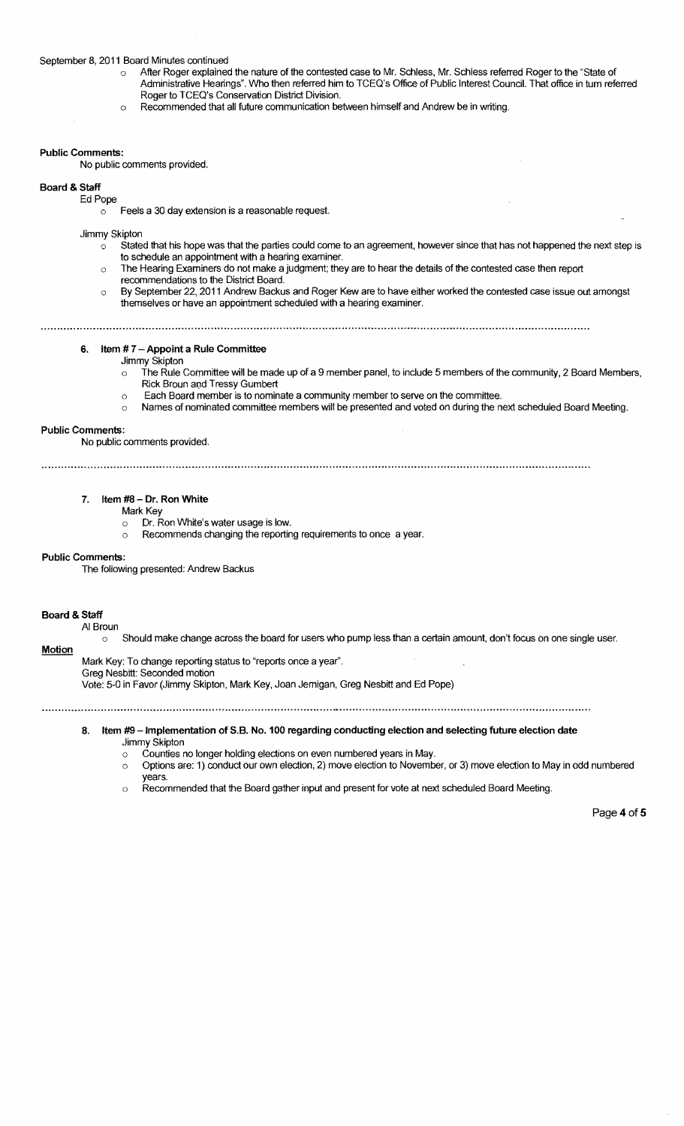#### September 8, 2011 Board Minutes continued

- o After Roger explained the nature of the contested case to Mr. Schiess, Mr. Schiess referred Roger to the "State of Administrative Hearings". Who then referred him to TCEO's Office of Public Interest Council. That office in tum referred Roger to TCEO's Conservation District Division.
- o Recommended that all future communication between himself and Andrew be in writing.

#### Public Comments:

No public comments provided.

## Board & Staff

#### Ed Pope

 $\circ$  Feels a 30 day extension is a reasonable request.

Jimmy Skipton

- $\dot{\circ}$  Stated that his hope was that the parties could come to an agreement, however since that has not happened the next step is to schedule an appointment with a hearing examiner.
- o The Hearing Examiners do not make a judgment; they are to hear the details of the contested case then report
- recommendations to the District Board.
- o By September 22, 2011 Andrew Backus and Roger Kew are to have either worked the contested case issue out amongst themselves or have an appointment scheduled with a hearing examiner.

6. Item # 7 - Appoint a Rule Committee

#### Jimmy Skipton

- $\circ$  The Rule Committee will be made up of a 9 member panel, to include 5 members of the community, 2 Board Members, Rick Broun and Tressy Gumbert
- o Each Board member is to nominate a community member to serve on the committee.
- o Names of nominated committee members will be presented and voted on during the next scheduled Board Meeting.

#### Public Comments:

No public comments provided.

## 7. Item #8 - Dr. Ron White

- Mark Key
	- o Dr. Ron White's water usage is low.
	- o Recommends changing the reporting requirements to once a year.

#### Public Comments:

The following presented: Andrew Backus

## Board & Staff

## AI Broun

o Should make change across the board for users who pump less than a certain amount, don't focus on one single user. **Motion** 

Mark Key: To change reporting status to "reports once a year". Greg Nesbitt: Seconded motion

Vote: 5-0 in Favor (Jimmy Skipton, Mark Key, Joan Jemigan, Greg Nesbitt and Ed Pope)

#### 8. Item #9 - Implementation of S.B. No. 100 regarding conducting election and selecting future election date Jimmy Skipton

- o Counties no longer holding elections on even numbered years in May.
- o Options are: 1) conduct our own election, 2) move election to November, or 3) move election to May in odd numbered years.
- $\circ$  Recommended that the Board gather input and present for vote at next scheduled Board Meeting.

Page 4 of 5